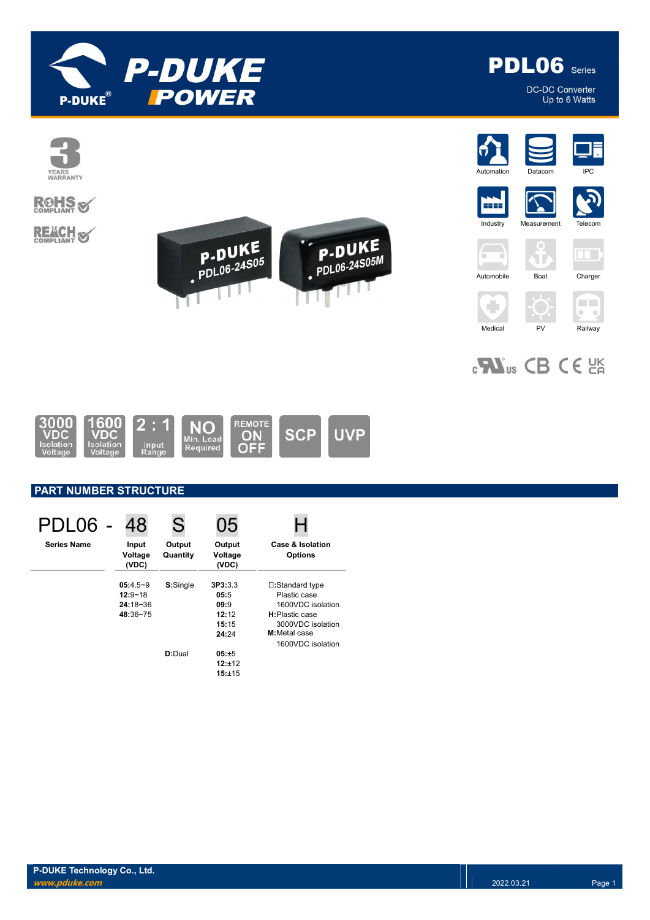



DC-DC Converter Up to 6 Watts



# **ROHS**

**REACH S** 











Ţ.

 $\sqrt{\frac{1}{2}}$  $\rightarrow$ ЧT. Automobile Boat Charger

÷



 $_{c}$ Nus CB CE  $_{c}$ 

Medical PV Railway



### PART NUMBER STRUCTURE

| PDL06 -            | 48                        | S                  | 05                         |                                    |
|--------------------|---------------------------|--------------------|----------------------------|------------------------------------|
| <b>Series Name</b> | Input<br>Voltage<br>(VDC) | Output<br>Quantity | Output<br>Voltage<br>(VDC) | Case & Isolation<br><b>Options</b> |
|                    | $05:4.5-9$                | S:Single           | 3P3:3.3                    | □:Standard type                    |
|                    | $12:9 - 18$               |                    | 05:5                       | Plastic case                       |
|                    | $24:18 - 36$              |                    | 09:9                       | 1600VDC isolation                  |
|                    | 48:36~75                  |                    | 12:12                      | H:Plastic case                     |
|                    |                           |                    | 15:15                      | 3000VDC isolation                  |
|                    |                           |                    | 24:24                      | M:Metal case                       |
|                    |                           |                    |                            | 1600VDC isolation                  |
|                    |                           | D:Dual             | 05:±5                      |                                    |
|                    |                           |                    | $12:+12$                   |                                    |
|                    |                           |                    | 15:±15                     |                                    |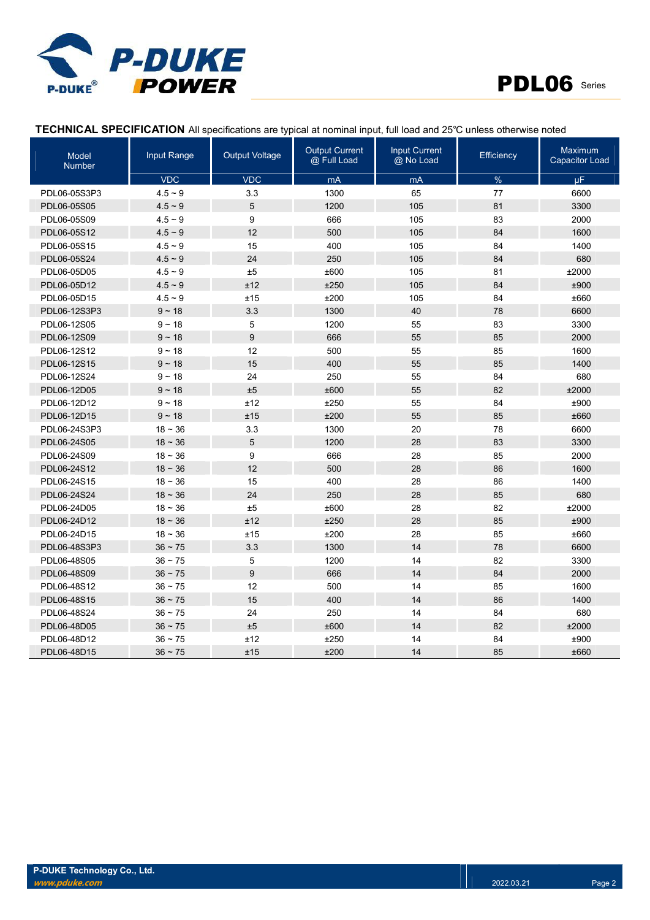



### TECHNICAL SPECIFICATION All specifications are typical at nominal input, full load and 25℃ unless otherwise noted

| Model<br><b>Number</b> | Input Range | <b>Output Voltage</b> | <b>Output Current</b><br>@ Full Load | <b>Input Current</b><br>@ No Load | <b>Efficiency</b> | Maximum<br><b>Capacitor Load</b> |
|------------------------|-------------|-----------------------|--------------------------------------|-----------------------------------|-------------------|----------------------------------|
|                        | <b>VDC</b>  | <b>VDC</b>            | mA                                   | mA                                | %                 | μF.                              |
| PDL06-05S3P3           | $4.5 - 9$   | 3.3                   | 1300                                 | 65                                | 77                | 6600                             |
| PDL06-05S05            | $4.5 - 9$   | 5                     | 1200                                 | 105                               | 81                | 3300                             |
| PDL06-05S09            | $4.5 - 9$   | 9                     | 666                                  | 105                               | 83                | 2000                             |
| PDL06-05S12            | $4.5 - 9$   | 12                    | 500                                  | 105                               | 84                | 1600                             |
| PDL06-05S15            | $4.5 - 9$   | 15                    | 400                                  | 105                               | 84                | 1400                             |
| PDL06-05S24            | $4.5 - 9$   | 24                    | 250                                  | 105                               | 84                | 680                              |
| PDL06-05D05            | $4.5 - 9$   | ±5                    | ±600                                 | 105                               | 81                | ±2000                            |
| PDL06-05D12            | $4.5 - 9$   | ±12                   | ±250                                 | 105                               | 84                | ±900                             |
| PDL06-05D15            | $4.5 - 9$   | ±15                   | ±200                                 | 105                               | 84                | ±660                             |
| PDL06-12S3P3           | $9 - 18$    | 3.3                   | 1300                                 | 40                                | 78                | 6600                             |
| PDL06-12S05            | $9 - 18$    | 5                     | 1200                                 | 55                                | 83                | 3300                             |
| PDL06-12S09            | $9 - 18$    | $\boldsymbol{9}$      | 666                                  | 55                                | 85                | 2000                             |
| PDL06-12S12            | $9 - 18$    | 12                    | 500                                  | 55                                | 85                | 1600                             |
| PDL06-12S15            | $9 - 18$    | 15                    | 400                                  | 55                                | 85                | 1400                             |
| PDL06-12S24            | $9 - 18$    | 24                    | 250                                  | 55                                | 84                | 680                              |
| PDL06-12D05            | $9 - 18$    | ±5                    | ±600                                 | 55                                | 82                | ±2000                            |
| PDL06-12D12            | $9 - 18$    | ±12                   | ±250                                 | 55                                | 84                | ±900                             |
| PDL06-12D15            | $9 - 18$    | ±15                   | ±200                                 | 55                                | 85                | ±660                             |
| PDL06-24S3P3           | $18 - 36$   | 3.3                   | 1300                                 | 20                                | 78                | 6600                             |
| PDL06-24S05            | $18 - 36$   | 5                     | 1200                                 | 28                                | 83                | 3300                             |
| PDL06-24S09            | $18 - 36$   | 9                     | 666                                  | 28                                | 85                | 2000                             |
| PDL06-24S12            | $18 - 36$   | 12                    | 500                                  | 28                                | 86                | 1600                             |
| PDL06-24S15            | $18 - 36$   | 15                    | 400                                  | 28                                | 86                | 1400                             |
| PDL06-24S24            | $18 - 36$   | 24                    | 250                                  | 28                                | 85                | 680                              |
| PDL06-24D05            | $18 - 36$   | ±5                    | ±600                                 | 28                                | 82                | ±2000                            |
| PDL06-24D12            | $18 - 36$   | ±12                   | ±250                                 | 28                                | 85                | ±900                             |
| PDL06-24D15            | $18 - 36$   | ±15                   | ±200                                 | 28                                | 85                | ±660                             |
| PDL06-48S3P3           | $36 - 75$   | 3.3                   | 1300                                 | 14                                | 78                | 6600                             |
| PDL06-48S05            | $36 - 75$   | 5                     | 1200                                 | 14                                | 82                | 3300                             |
| PDL06-48S09            | $36 - 75$   | 9                     | 666                                  | 14                                | 84                | 2000                             |
| PDL06-48S12            | $36 - 75$   | 12                    | 500                                  | 14                                | 85                | 1600                             |
| PDL06-48S15            | $36 - 75$   | 15                    | 400                                  | 14                                | 86                | 1400                             |
| PDL06-48S24            | $36 - 75$   | 24                    | 250                                  | 14                                | 84                | 680                              |
| PDL06-48D05            | $36 - 75$   | ±5                    | ±600                                 | 14                                | 82                | ±2000                            |
| PDL06-48D12            | $36 - 75$   | ±12                   | ±250                                 | 14                                | 84                | ±900                             |
| PDL06-48D15            | $36 - 75$   | ±15                   | ±200                                 | 14                                | 85                | ±660                             |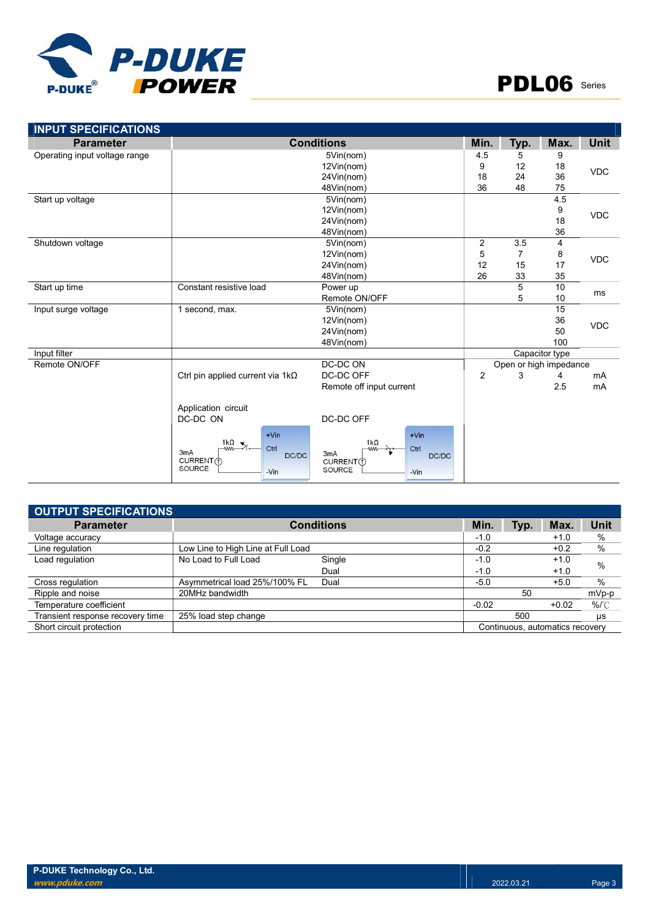

| <b>Parameter</b>              |                                                                                         | <b>Conditions</b>                                                                            | Min.           | Typ. | Max.                   | <b>Unit</b> |
|-------------------------------|-----------------------------------------------------------------------------------------|----------------------------------------------------------------------------------------------|----------------|------|------------------------|-------------|
| Operating input voltage range |                                                                                         | 5Vin(nom)                                                                                    |                |      | 9                      |             |
|                               |                                                                                         | 12Vin(nom)                                                                                   | 9              | 12   | 18                     | <b>VDC</b>  |
|                               | 24Vin(nom)                                                                              |                                                                                              |                | 24   | 36                     |             |
|                               |                                                                                         | 48Vin(nom)                                                                                   | 36             | 48   | 75                     |             |
| Start up voltage              |                                                                                         | 5Vin(nom)                                                                                    |                |      | 4.5                    |             |
|                               |                                                                                         | 12Vin(nom)                                                                                   |                |      | 9                      | <b>VDC</b>  |
|                               |                                                                                         | 24Vin(nom)                                                                                   |                |      | 18                     |             |
|                               |                                                                                         | 48Vin(nom)                                                                                   |                |      | 36                     |             |
| Shutdown voltage              |                                                                                         | 5Vin(nom)                                                                                    | $\overline{c}$ | 3.5  | 4                      |             |
|                               |                                                                                         | 12Vin(nom)                                                                                   |                |      |                        |             |
|                               | 24Vin(nom)                                                                              |                                                                                              |                | 15   | 17                     | <b>VDC</b>  |
|                               |                                                                                         | 48Vin(nom)                                                                                   | 26             | 33   | 35                     |             |
| Start up time                 | Constant resistive load                                                                 | Power up                                                                                     |                | 5    | 10                     | ms          |
|                               | Remote ON/OFF                                                                           |                                                                                              |                | 5    | 10                     |             |
| Input surge voltage           | 1 second, max.                                                                          | 5Vin(nom)                                                                                    |                |      | 15                     |             |
|                               |                                                                                         | 12Vin(nom)                                                                                   |                |      | 36                     | <b>VDC</b>  |
|                               |                                                                                         | 24Vin(nom)                                                                                   |                |      | 50                     |             |
|                               |                                                                                         | 48Vin(nom)                                                                                   |                |      | 100                    |             |
| Input filter                  |                                                                                         |                                                                                              |                |      | Capacitor type         |             |
| Remote ON/OFF                 |                                                                                         | DC-DC ON                                                                                     |                |      | Open or high impedance |             |
|                               | Ctrl pin applied current via $1k\Omega$                                                 | DC-DC OFF                                                                                    | $\overline{2}$ | 3    | 4                      | mA          |
|                               |                                                                                         | Remote off input current                                                                     |                |      | 2.5                    | mA          |
|                               | Application circuit                                                                     |                                                                                              |                |      |                        |             |
|                               | DC-DC ON                                                                                | DC-DC OFF                                                                                    |                |      |                        |             |
|                               | $+V$ in<br>1 $k\Omega$<br>Ctrl<br>-ww-<br>3mA<br>DC/DC<br>CURRENT (1)<br>SOURCE<br>-Vin | $+V$ in<br>$1k\Omega$<br>Ctrl<br><b>MM</b><br>3mA<br>DC/DC<br>CURRENT(1)<br>SOURCE<br>$-Vin$ |                |      |                        |             |

| <b>OUTPUT SPECIFICATIONS</b>     |                                    |                   |         |      |                                 |             |
|----------------------------------|------------------------------------|-------------------|---------|------|---------------------------------|-------------|
| <b>Parameter</b>                 |                                    | <b>Conditions</b> | Min.    | Typ. | Max.                            | <b>Unit</b> |
| Voltage accuracy                 |                                    |                   | $-1.0$  |      | $+1.0$                          | %           |
| Line regulation                  | Low Line to High Line at Full Load |                   | $-0.2$  |      | $+0.2$                          | %           |
| Load regulation                  | No Load to Full Load               | Single            | $-1.0$  |      | $+1.0$                          | $\%$        |
|                                  |                                    | Dual              | $-1.0$  |      | $+1.0$                          |             |
| Cross regulation                 | Asymmetrical load 25%/100% FL      | Dual              | $-5.0$  |      | $+5.0$                          | $\%$        |
| Ripple and noise                 | 20MHz bandwidth                    |                   |         | 50   |                                 | mVp-p       |
| Temperature coefficient          |                                    |                   | $-0.02$ |      | $+0.02$                         | $%$ $C$     |
| Transient response recovery time | 25% load step change               |                   |         | 500  |                                 | us          |
| Short circuit protection         |                                    |                   |         |      | Continuous, automatics recovery |             |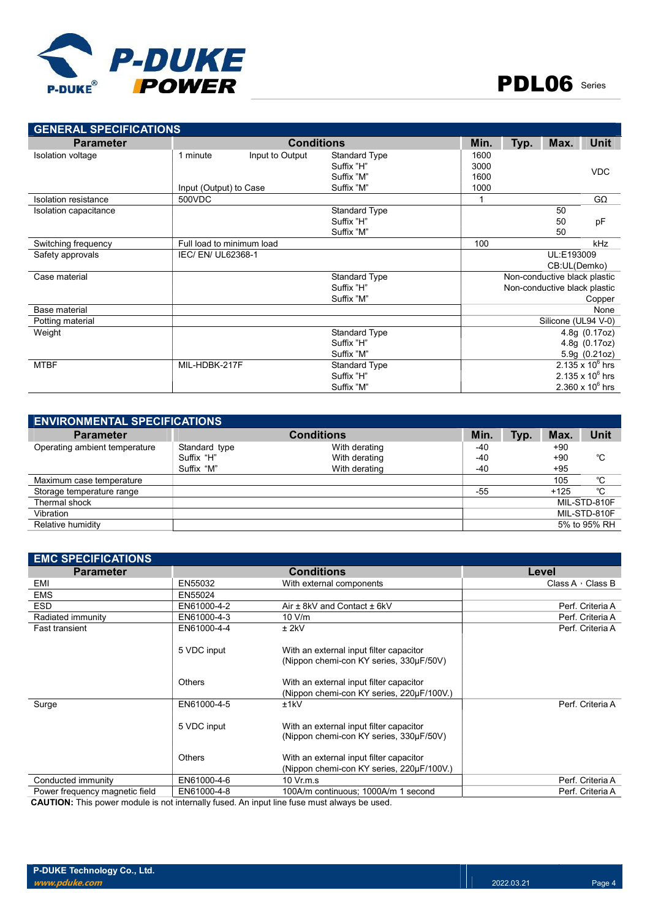

| <b>GENERAL SPECIFICATIONS</b> |                           |                   |                      |      |      |                              |                         |
|-------------------------------|---------------------------|-------------------|----------------------|------|------|------------------------------|-------------------------|
| <b>Parameter</b>              |                           | <b>Conditions</b> |                      | Min. | Typ. | Max.                         | <b>Unit</b>             |
| Isolation voltage             | 1 minute                  | Input to Output   | Standard Type        | 1600 |      |                              |                         |
|                               |                           |                   | Suffix "H"           | 3000 |      |                              | <b>VDC</b>              |
|                               |                           |                   | Suffix "M"           | 1600 |      |                              |                         |
|                               | Input (Output) to Case    |                   | Suffix "M"           | 1000 |      |                              |                         |
| <b>Isolation resistance</b>   | 500VDC                    |                   |                      |      |      |                              | $G\Omega$               |
| Isolation capacitance         |                           |                   | <b>Standard Type</b> |      |      | 50                           |                         |
|                               |                           |                   | Suffix "H"           |      |      | 50                           | pF                      |
|                               |                           |                   | Suffix "M"           |      |      | 50                           |                         |
| Switching frequency           | Full load to minimum load |                   |                      | 100  |      |                              | <b>kHz</b>              |
| Safety approvals              | IEC/ EN/ UL62368-1        |                   |                      |      |      | UL:E193009                   |                         |
|                               |                           |                   |                      |      |      | CB:UL(Demko)                 |                         |
| Case material                 |                           |                   | <b>Standard Type</b> |      |      | Non-conductive black plastic |                         |
|                               |                           |                   | Suffix "H"           |      |      | Non-conductive black plastic |                         |
|                               |                           |                   | Suffix "M"           |      |      |                              | Copper                  |
| Base material                 |                           |                   |                      |      |      |                              | None                    |
| Potting material              |                           |                   |                      |      |      | Silicone (UL94 V-0)          |                         |
| Weight                        |                           |                   | Standard Type        |      |      |                              | 4.8g (0.17oz)           |
|                               |                           |                   | Suffix "H"           |      |      |                              | 4.8g (0.17oz)           |
|                               |                           |                   | Suffix "M"           |      |      |                              | 5.9g (0.21oz)           |
| <b>MTBF</b>                   | MIL-HDBK-217F             |                   | <b>Standard Type</b> |      |      |                              | $2.135 \times 10^6$ hrs |
|                               |                           |                   | Suffix "H"           |      |      |                              | $2.135 \times 10^6$ hrs |
|                               |                           |                   | Suffix "M"           |      |      |                              | $2.360 \times 10^6$ hrs |

| <b>ENVIRONMENTAL SPECIFICATIONS</b> |               |                   |       |      |        |              |
|-------------------------------------|---------------|-------------------|-------|------|--------|--------------|
| <b>Parameter</b>                    |               | <b>Conditions</b> | Min.  | Typ. | Max.   | <b>Unit</b>  |
| Operating ambient temperature       | Standard type | With derating     | $-40$ |      | $+90$  |              |
|                                     | Suffix "H"    | With derating     | -40   |      | $+90$  | °C           |
|                                     | Suffix "M"    | With derating     | -40   |      | $+95$  |              |
| Maximum case temperature            |               |                   |       |      | 105    | °C           |
| Storage temperature range           |               |                   | $-55$ |      | $+125$ | °C           |
| Thermal shock                       |               |                   |       |      |        | MIL-STD-810F |
| Vibration                           |               |                   |       |      |        | MIL-STD-810F |
| Relative humidity                   |               |                   |       |      |        | 5% to 95% RH |

| <b>EMC SPECIFICATIONS</b>      |               |                                                                                      |                         |
|--------------------------------|---------------|--------------------------------------------------------------------------------------|-------------------------|
| <b>Parameter</b>               |               | <b>Conditions</b>                                                                    | Level                   |
| EMI                            | EN55032       | With external components                                                             | Class A $\cdot$ Class B |
| <b>EMS</b>                     | EN55024       |                                                                                      |                         |
| <b>ESD</b>                     | EN61000-4-2   | Air $\pm$ 8kV and Contact $\pm$ 6kV                                                  | Perf. Criteria A        |
| Radiated immunity              | EN61000-4-3   | 10 V/m                                                                               | Perf. Criteria A        |
| <b>Fast transient</b>          | EN61000-4-4   | $±$ 2kV                                                                              | Perf. Criteria A        |
|                                | 5 VDC input   | With an external input filter capacitor<br>(Nippon chemi-con KY series, 330µF/50V)   |                         |
|                                | <b>Others</b> | With an external input filter capacitor<br>(Nippon chemi-con KY series, 220µF/100V.) |                         |
| Surge                          | EN61000-4-5   | ±1kV                                                                                 | Perf. Criteria A        |
|                                | 5 VDC input   | With an external input filter capacitor<br>(Nippon chemi-con KY series, 330µF/50V)   |                         |
|                                | <b>Others</b> | With an external input filter capacitor<br>(Nippon chemi-con KY series, 220µF/100V.) |                         |
| Conducted immunity             | EN61000-4-6   | $10 \,$ Vr.m.s                                                                       | Perf. Criteria A        |
| Power frequency magnetic field | EN61000-4-8   | 100A/m continuous; 1000A/m 1 second                                                  | Perf. Criteria A        |

CAUTION: This power module is not internally fused. An input line fuse must always be used.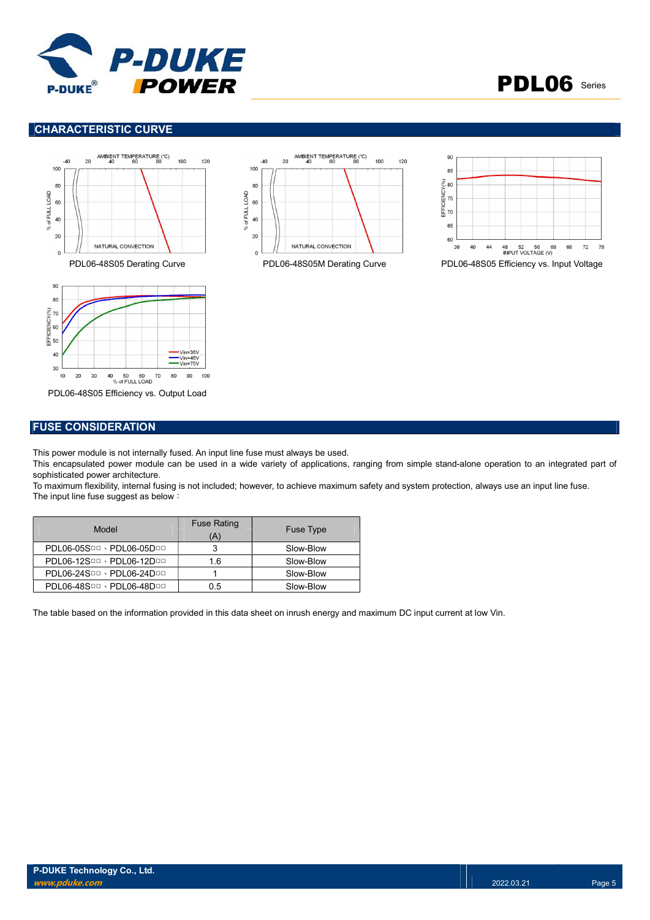



### CHARACTERISTIC CURVE









PDL06-48S05 Efficiency vs. Output Load

### FUSE CONSIDERATION

This power module is not internally fused. An input line fuse must always be used.

This encapsulated power module can be used in a wide variety of applications, ranging from simple stand-alone operation to an integrated part of sophisticated power architecture.

To maximum flexibility, internal fusing is not included; however, to achieve maximum safety and system protection, always use an input line fuse. The input line fuse suggest as below:

| Model                     | <b>Fuse Rating</b><br>(A) | <b>Fuse Type</b> |
|---------------------------|---------------------------|------------------|
| PDL06-05SOD · PDL06-05DOD |                           | Slow-Blow        |
| PDL06-12SDD · PDL06-12DDD | 1.6                       | Slow-Blow        |
| PDL06-24SOO · PDL06-24DOO |                           | Slow-Blow        |
| PDL06-48SOD · PDL06-48DOD | 0.5                       | Slow-Blow        |

The table based on the information provided in this data sheet on inrush energy and maximum DC input current at low Vin.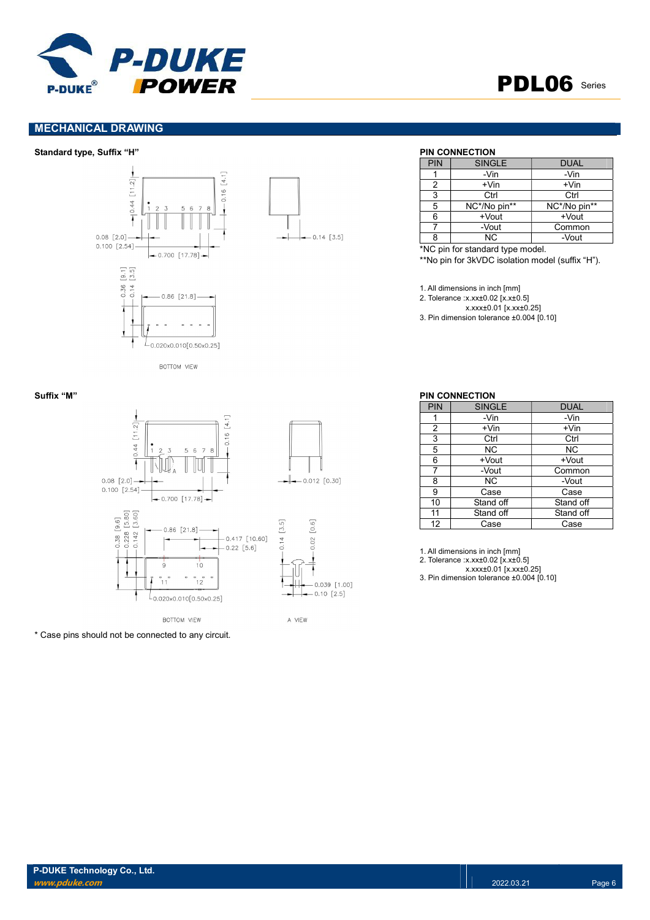

## PDL06 Series

### MECHANICAL DRAWING

### Standard type, Suffix "H" PIN CONNECTION



BOTTOM VIEW



\* Case pins should not be connected to any circuit.

 $-0.14$  [3.5]

| PIN | <b>SINGLE</b> | <b>DUAL</b>  |
|-----|---------------|--------------|
|     | -Vin          | -Vin         |
|     | $+V$ in       | $+V$ in      |
| 3   | Ctrl          | Ctrl         |
| 5   | NC*/No pin**  | NC*/No pin** |
|     | $+$ Vout      | $+$ Vout     |
|     | -Vout         | Common       |
|     | <b>NC</b>     | -Vout        |

\*NC pin for standard type model.

\*\*No pin for 3kVDC isolation model (suffix "H").

1. All dimensions in inch [mm]

2. Tolerance :x.xx±0.02 [x.x±0.5]

x.xxx±0.01 [x.xx±0.25]

3. Pin dimension tolerance ±0.004 [0.10]

| PIN            | <b>SINGLE</b> | <b>DUAL</b> |
|----------------|---------------|-------------|
|                | -Vin          | -Vin        |
| $\overline{2}$ | +Vin          | +Vin        |
| 3              | Ctrl          | Ctrl        |
| 5              | NC.           | ΝC          |
| 6              | +Vout         | +Vout       |
|                | -Vout         | Common      |
| 8              | NC.           | -Vout       |
| 9              | Case          | Case        |
| 10             | Stand off     | Stand off   |
| 11             | Stand off     | Stand off   |
| 12             | Case          | Case        |

1. All dimensions in inch [mm]

2. Tolerance :x.xx±0.02 [x.x±0.5]

x.xxx±0.01 [x.xx±0.25]

3. Pin dimension tolerance ±0.004 [0.10]